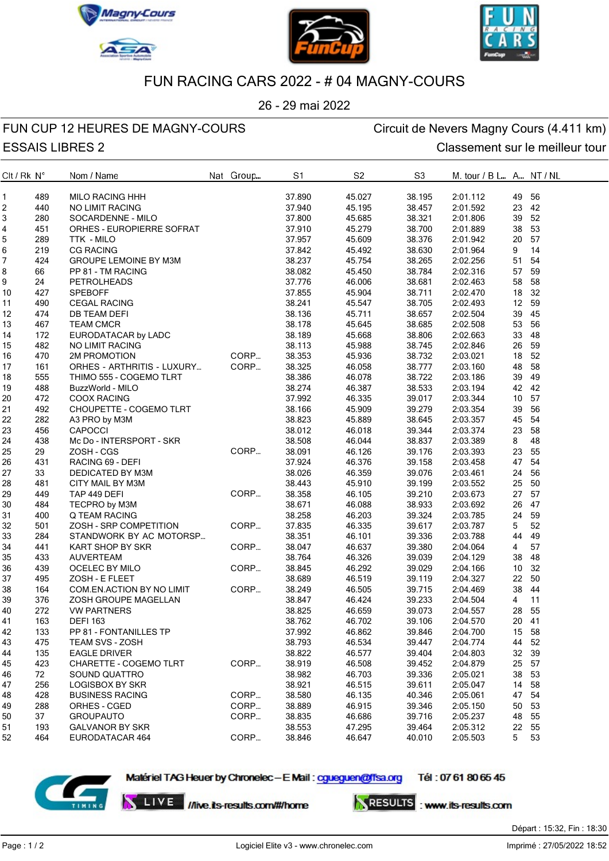







### FUN RACING CARS 2022 - # 04 MAGNY-COURS

26 - 29 mai 2022

## FUN CUP 12 HEURES DE MAGNY-COURS<br>
Circuit de Nevers Magny Cours (4.411 km)

# ESSAIS LIBRES 2 Classement sur le meilleur tour

| $Clt$ / Rk $N^{\circ}$ |     | Nom / Name                      | Nat Group | S1     | S <sub>2</sub> | S <sub>3</sub> | M. tour / B L A NT / NL |                |       |
|------------------------|-----|---------------------------------|-----------|--------|----------------|----------------|-------------------------|----------------|-------|
| 1                      | 489 | <b>MILO RACING HHH</b>          |           | 37.890 | 45.027         | 38.195         | 2:01.112                | 49 56          |       |
| 2                      | 440 | NO LIMIT RACING                 |           | 37.940 | 45.195         | 38.457         | 2:01.592                | 23 42          |       |
| 3                      | 280 | SOCARDENNE - MILO               |           | 37.800 | 45.685         | 38.321         | 2:01.806                | 39 52          |       |
| 4                      | 451 | ORHES - EUROPIERRE SOFRAT       |           | 37.910 | 45.279         | 38.700         | 2:01.889                | 38 53          |       |
| 5                      | 289 | TTK - MILO                      |           | 37.957 | 45.609         | 38.376         | 2:01.942                | 20 57          |       |
| 6                      | 219 | M3M<br>DC<br><b>CG RACING</b>   |           | 37.842 | 45.492         | 38.630         | 2:01.964                | 9              | 14    |
| 7                      | 424 | GROUPE LEMOINE BY M3M           |           | 38.237 | 45.754         | 38.265         | 2:02.256                | 51             | 54    |
| 8                      | 66  | PP 81 - TM RACING               |           | 38.082 | 45.450         | 38.784         | 2:02.316                | 57 59          |       |
| 9                      | 24  | <b>PETROLHEADS</b>              |           | 37.776 | 46.006         | 38.681         | 2:02.463                | 58 58          |       |
| 10                     | 427 | <b>SPEBOFF</b>                  |           | 37.855 | 45.904         | 38.711         | 2:02.470                | 18 32          |       |
| 11                     | 490 | <b>CEGAL RACING</b>             |           | 38.241 | 45.547         | 38.705         | 2:02.493                | 12 59          |       |
| 12                     | 474 | <b>DB TEAM DEFI</b>             |           | 38.136 | 45.711         | 38.657         | 2:02.504                | 39 45          |       |
| 13                     | 467 | <b>TEAM CMCR</b>                |           | 38.178 | 45.645         | 38.685         | 2:02.508                | 53 56          |       |
| 14                     | 172 | EURODATACAR by LADC             |           | 38.189 | 45.668         | 38.806         | 2:02.663                | 33 48          |       |
| 15                     | 482 | <b>NO LIMIT RACING</b>          |           | 38.113 | 45.988         | 38.745         | 2:02.846                | 26 59          |       |
| 16                     | 470 | 2M PROMOTION                    | CORP      | 38.353 | 45.936         | 38.732         | 2:03.021                | 18 52          |       |
| 17                     | 161 | ORHES - ARTHRITIS - LUXURY      | CORP      | 38.325 | 46.058         | 38.777         | 2:03.160                | 48 58          |       |
| 18                     | 555 | THIMO 555 - COGEMO TLRT         |           | 38.386 | 46.078         | 38.722         | 2:03.186                | 39 49          |       |
| 19                     | 488 | BuzzWorld - MILO                |           | 38.274 | 46.387         | 38.533         | 2:03.194                | 42 42          |       |
| 20                     | 472 | <b>COOX RACING</b>              |           | 37.992 | 46.335         | 39.017         | 2:03.344                | 10 57          |       |
| 21                     | 492 | CHOUPETTE - COGEMO TLRT         |           | 38.166 | 45.909         | 39.279         | 2:03.354                | 39 56          |       |
|                        | 282 |                                 |           | 38.823 | 45.889         | 38.645         |                         | 45 54          |       |
| 22                     | 456 | A3 PRO by M3M<br><b>CAPOCCI</b> |           | 38.012 | 46.018         | 39.344         | 2:03.357<br>2:03.374    | 23 58          |       |
| 23                     |     |                                 |           |        |                |                |                         |                |       |
| 24                     | 438 | Mc Do - INTERSPORT - SKR        |           | 38.508 | 46.044         | 38.837         | 2:03.389                | 8              | 48    |
| 25                     | 29  | ZOSH - CGS                      | CORP      | 38.091 | 46.126         | 39.176         | 2:03.393                | 23 55          |       |
| 26                     | 431 | RACING 69 - DEFI                |           | 37.924 | 46.376         | 39.158         | 2:03.458                | 47 54          |       |
| 27                     | 33  | DEDICATED BY M3M                |           | 38.026 | 46.359         | 39.076         | 2:03.461                | 24 56          |       |
| 28                     | 481 | CITY MAIL BY M3M                |           | 38.443 | 45.910         | 39.199         | 2:03.552                | 25 50          |       |
| 29                     | 449 | TAP 449 DEFI                    | CORP      | 38.358 | 46.105         | 39.210         | 2:03.673                | 27 57          |       |
| 30                     | 484 | TECPRO by M3M                   |           | 38.671 | 46.088         | 38.933         | 2:03.692                | 26 47          |       |
| 31                     | 400 | Q TEAM RACING                   |           | 38.258 | 46.203         | 39.324         | 2:03.785                | 24             | 59    |
| 32                     | 501 | ZOSH - SRP COMPETITION          | CORP      | 37.835 | 46.335         | 39.617         | 2:03.787                | 5              | 52    |
| 33                     | 284 | STANDWORK BY AC MOTORSP         |           | 38.351 | 46.101         | 39.336         | 2:03.788                | 44             | 49    |
| 34                     | 441 | KART SHOP BY SKR                | CORP      | 38.047 | 46.637         | 39.380         | 2:04.064                | $\overline{4}$ | 57    |
| 35                     | 433 | <b>AUVERTEAM</b>                |           | 38.764 | 46.326         | 39.039         | 2:04.129                | 38             | 48    |
| 36                     | 439 | OCELEC BY MILO                  | CORP      | 38.845 | 46.292         | 39.029         | 2:04.166                | 10 32          |       |
| 37                     | 495 | ZOSH - E FLEET                  |           | 38.689 | 46.519         | 39.119         | 2:04.327                | 22 50          |       |
| 38                     | 164 | COM.EN.ACTION BY NO LIMIT       | CORP      | 38.249 | 46.505         | 39.715         | 2:04.469                | 38 44          |       |
| 39                     | 376 | ZOSH GROUPE MAGELLAN            |           | 38.847 | 46.424         | 39.233         | 2:04.504                | $\overline{4}$ | $-11$ |
| 40                     | 272 | <b>VW PARTNERS</b>              |           | 38.825 | 46.659         | 39.073         | 2:04.557                | 28 55          |       |
| 41                     | 163 | <b>DEFI 163</b>                 |           | 38.762 | 46.702         | 39.106         | 2:04.570                | 20 41          |       |
| 42                     | 133 | PP 81 - FONTANILLES TP          |           | 37.992 | 46.862         | 39.846         | 2:04.700                | 15 58          |       |
| 43                     | 475 | <b>TEAM SVS - ZOSH</b>          |           | 38.793 | 46.534         | 39.447         | 2:04.774                | 44 52          |       |
| 44                     | 135 | <b>EAGLE DRIVER</b>             |           | 38.822 | 46.577         | 39.404         | 2:04.803                | 32 39          |       |
| 45                     | 423 | CHARETTE - COGEMO TLRT          | CORP      | 38.919 | 46.508         | 39.452         | 2:04.879                | 25 57          |       |
| 46                     | 72  | SOUND QUATTRO                   |           | 38.982 | 46.703         | 39.336         | 2:05.021                | 38 53          |       |
| 47                     | 256 | <b>LOGISBOX BY SKR</b>          |           | 38.921 | 46.515         | 39.611         | 2:05.047                | 14 58          |       |
| 48                     | 428 | <b>BUSINESS RACING</b>          | CORP      | 38.580 | 46.135         | 40.346         | 2:05.061                | 47 54          |       |
| 49                     | 288 | ORHES - CGED                    | CORP      | 38.889 | 46.915         | 39.346         | 2:05.150                | 50 53          |       |
| 50                     | 37  | <b>GROUPAUTO</b>                | CORP      | 38.835 | 46.686         | 39.716         | 2:05.237                | 48 55          |       |
| 51                     | 193 | <b>GALVANOR BY SKR</b>          |           | 38.553 | 47.295         | 39.464         | 2:05.312                | 22             | 55    |
| 52                     | 464 | EURODATACAR 464                 | CORP      | 38.846 | 46.647         | 40.010         | 2:05.503                | 5              | 53    |
|                        |     |                                 |           |        |                |                |                         |                |       |



Matériel TAG Heuer by Chronelec - E Mail: cgueguen@ffsa.org

Tél: 0761 8065 45

LIVE //live.its-results.com/#/home